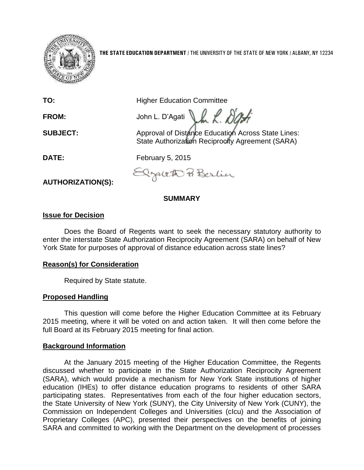

**THE STATE EDUCATION DEPARTMENT** / THE UNIVERSITY OF THE STATE OF NEW YORK / ALBANY, NY 12234

| TO:                      | <b>Higher Education Committee</b>                                                                      |
|--------------------------|--------------------------------------------------------------------------------------------------------|
| FROM:                    | John L. D'Agati                                                                                        |
| <b>SUBJECT:</b>          | Approval of Distance Education Across State Lines:<br>State Authorization Reciprocity Agreement (SARA) |
| DATE:                    | February 5, 2015                                                                                       |
| <b>AUTHORIZATION(S):</b> | Elzareth Berlin                                                                                        |

**SUMMARY**

# **Issue for Decision**

Does the Board of Regents want to seek the necessary statutory authority to enter the interstate State Authorization Reciprocity Agreement (SARA) on behalf of New York State for purposes of approval of distance education across state lines?

# **Reason(s) for Consideration**

Required by State statute.

#### **Proposed Handling**

This question will come before the Higher Education Committee at its February 2015 meeting, where it will be voted on and action taken. It will then come before the full Board at its February 2015 meeting for final action.

#### **Background Information**

At the January 2015 meeting of the Higher Education Committee, the Regents discussed whether to participate in the State Authorization Reciprocity Agreement (SARA), which would provide a mechanism for New York State institutions of higher education (IHEs) to offer distance education programs to residents of other SARA participating states. Representatives from each of the four higher education sectors, the State University of New York (SUNY), the City University of New York (CUNY), the Commission on Independent Colleges and Universities (cIcu) and the Association of Proprietary Colleges (APC), presented their perspectives on the benefits of joining SARA and committed to working with the Department on the development of processes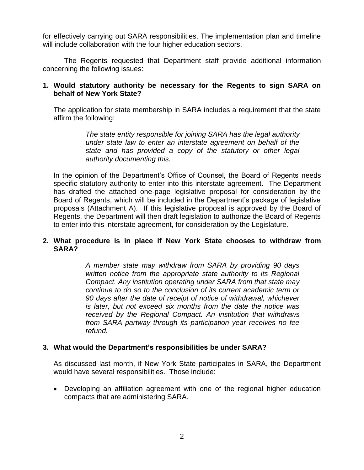for effectively carrying out SARA responsibilities. The implementation plan and timeline will include collaboration with the four higher education sectors.

The Regents requested that Department staff provide additional information concerning the following issues:

# **1. Would statutory authority be necessary for the Regents to sign SARA on behalf of New York State?**

The application for state membership in SARA includes a requirement that the state affirm the following:

> *The state entity responsible for joining SARA has the legal authority under state law to enter an interstate agreement on behalf of the state and has provided a copy of the statutory or other legal authority documenting this.*

In the opinion of the Department's Office of Counsel, the Board of Regents needs specific statutory authority to enter into this interstate agreement. The Department has drafted the attached one-page legislative proposal for consideration by the Board of Regents, which will be included in the Department's package of legislative proposals (Attachment A). If this legislative proposal is approved by the Board of Regents, the Department will then draft legislation to authorize the Board of Regents to enter into this interstate agreement, for consideration by the Legislature.

# **2. What procedure is in place if New York State chooses to withdraw from SARA?**

*A member state may withdraw from SARA by providing 90 days written notice from the appropriate state authority to its Regional Compact. Any institution operating under SARA from that state may continue to do so to the conclusion of its current academic term or 90 days after the date of receipt of notice of withdrawal, whichever is later, but not exceed six months from the date the notice was received by the Regional Compact. An institution that withdraws from SARA partway through its participation year receives no fee refund.*

# **3. What would the Department's responsibilities be under SARA?**

As discussed last month, if New York State participates in SARA, the Department would have several responsibilities. Those include:

 Developing an affiliation agreement with one of the regional higher education compacts that are administering SARA.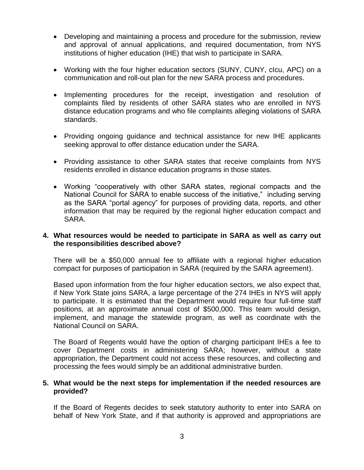- Developing and maintaining a process and procedure for the submission, review and approval of annual applications, and required documentation, from NYS institutions of higher education (IHE) that wish to participate in SARA.
- Working with the four higher education sectors (SUNY, CUNY, cIcu, APC) on a communication and roll-out plan for the new SARA process and procedures.
- Implementing procedures for the receipt, investigation and resolution of complaints filed by residents of other SARA states who are enrolled in NYS distance education programs and who file complaints alleging violations of SARA standards.
- Providing ongoing guidance and technical assistance for new IHE applicants seeking approval to offer distance education under the SARA.
- Providing assistance to other SARA states that receive complaints from NYS residents enrolled in distance education programs in those states.
- Working "cooperatively with other SARA states, regional compacts and the National Council for SARA to enable success of the initiative," including serving as the SARA "portal agency" for purposes of providing data, reports, and other information that may be required by the regional higher education compact and SARA.

### **4. What resources would be needed to participate in SARA as well as carry out the responsibilities described above?**

There will be a \$50,000 annual fee to affiliate with a regional higher education compact for purposes of participation in SARA (required by the SARA agreement).

Based upon information from the four higher education sectors, we also expect that, if New York State joins SARA, a large percentage of the 274 IHEs in NYS will apply to participate. It is estimated that the Department would require four full-time staff positions, at an approximate annual cost of \$500,000. This team would design, implement, and manage the statewide program, as well as coordinate with the National Council on SARA.

The Board of Regents would have the option of charging participant IHEs a fee to cover Department costs in administering SARA; however, without a state appropriation, the Department could not access these resources, and collecting and processing the fees would simply be an additional administrative burden.

### **5. What would be the next steps for implementation if the needed resources are provided?**

If the Board of Regents decides to seek statutory authority to enter into SARA on behalf of New York State, and if that authority is approved and appropriations are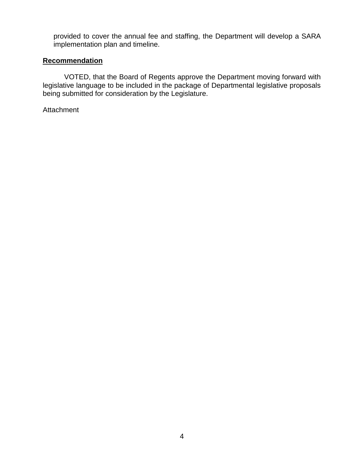provided to cover the annual fee and staffing, the Department will develop a SARA implementation plan and timeline.

# **Recommendation**

VOTED, that the Board of Regents approve the Department moving forward with legislative language to be included in the package of Departmental legislative proposals being submitted for consideration by the Legislature.

Attachment